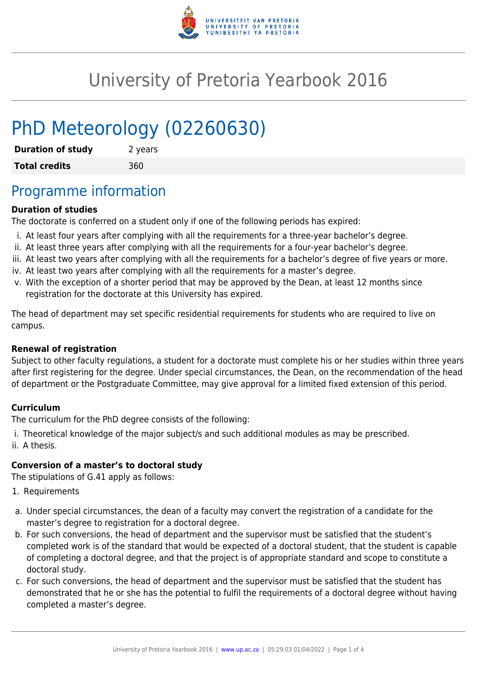

# University of Pretoria Yearbook 2016

# PhD Meteorology (02260630)

| <b>Duration of study</b> | 2 years |
|--------------------------|---------|
| <b>Total credits</b>     | 360     |

## Programme information

#### **Duration of studies**

The doctorate is conferred on a student only if one of the following periods has expired:

- i. At least four years after complying with all the requirements for a three-year bachelor's degree.
- ii. At least three years after complying with all the requirements for a four-year bachelor's degree.
- iii. At least two years after complying with all the requirements for a bachelor's degree of five years or more.
- iv. At least two years after complying with all the requirements for a master's degree.
- v. With the exception of a shorter period that may be approved by the Dean, at least 12 months since registration for the doctorate at this University has expired.

The head of department may set specific residential requirements for students who are required to live on campus.

#### **Renewal of registration**

Subject to other faculty regulations, a student for a doctorate must complete his or her studies within three years after first registering for the degree. Under special circumstances, the Dean, on the recommendation of the head of department or the Postgraduate Committee, may give approval for a limited fixed extension of this period.

#### **Curriculum**

The curriculum for the PhD degree consists of the following:

i. Theoretical knowledge of the major subject/s and such additional modules as may be prescribed. ii. A thesis.

#### **Conversion of a master's to doctoral study**

The stipulations of G.41 apply as follows:

- 1. Requirements
- a. Under special circumstances, the dean of a faculty may convert the registration of a candidate for the master's degree to registration for a doctoral degree.
- b. For such conversions, the head of department and the supervisor must be satisfied that the student's completed work is of the standard that would be expected of a doctoral student, that the student is capable of completing a doctoral degree, and that the project is of appropriate standard and scope to constitute a doctoral study.
- c. For such conversions, the head of department and the supervisor must be satisfied that the student has demonstrated that he or she has the potential to fulfil the requirements of a doctoral degree without having completed a master's degree.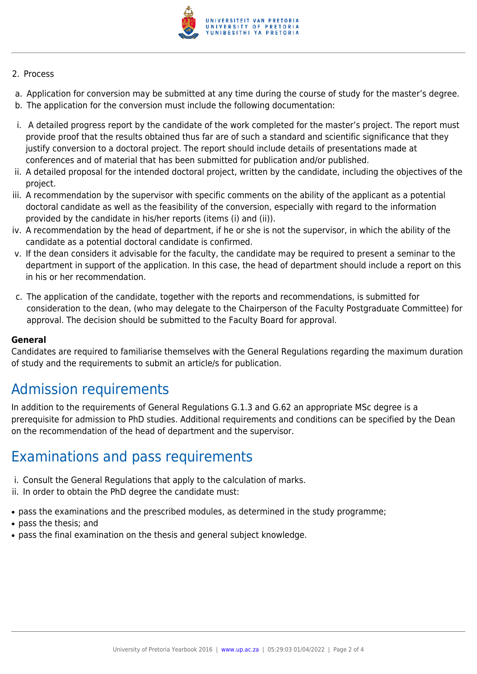

#### 2. Process

- a. Application for conversion may be submitted at any time during the course of study for the master's degree.
- b. The application for the conversion must include the following documentation:
- i. A detailed progress report by the candidate of the work completed for the master's project. The report must provide proof that the results obtained thus far are of such a standard and scientific significance that they justify conversion to a doctoral project. The report should include details of presentations made at conferences and of material that has been submitted for publication and/or published.
- ii. A detailed proposal for the intended doctoral project, written by the candidate, including the objectives of the project.
- iii. A recommendation by the supervisor with specific comments on the ability of the applicant as a potential doctoral candidate as well as the feasibility of the conversion, especially with regard to the information provided by the candidate in his/her reports (items (i) and (ii)).
- iv. A recommendation by the head of department, if he or she is not the supervisor, in which the ability of the candidate as a potential doctoral candidate is confirmed.
- v. If the dean considers it advisable for the faculty, the candidate may be required to present a seminar to the department in support of the application. In this case, the head of department should include a report on this in his or her recommendation.
- c. The application of the candidate, together with the reports and recommendations, is submitted for consideration to the dean, (who may delegate to the Chairperson of the Faculty Postgraduate Committee) for approval. The decision should be submitted to the Faculty Board for approval.

#### **General**

Candidates are required to familiarise themselves with the General Regulations regarding the maximum duration of study and the requirements to submit an article/s for publication.

## Admission requirements

In addition to the requirements of General Regulations G.1.3 and G.62 an appropriate MSc degree is a prerequisite for admission to PhD studies. Additional requirements and conditions can be specified by the Dean on the recommendation of the head of department and the supervisor.

### Examinations and pass requirements

- i. Consult the General Regulations that apply to the calculation of marks.
- ii. In order to obtain the PhD degree the candidate must:
- pass the examinations and the prescribed modules, as determined in the study programme;
- pass the thesis: and
- pass the final examination on the thesis and general subject knowledge.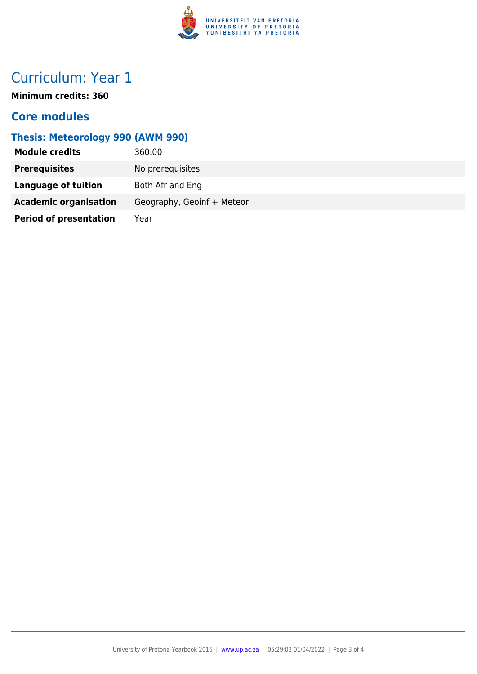

# Curriculum: Year 1

**Minimum credits: 360**

### **Core modules**

### **Thesis: Meteorology 990 (AWM 990)**

| <b>Module credits</b>         | 360.00                     |
|-------------------------------|----------------------------|
| <b>Prerequisites</b>          | No prerequisites.          |
| Language of tuition           | Both Afr and Eng           |
| <b>Academic organisation</b>  | Geography, Geoinf + Meteor |
| <b>Period of presentation</b> | Year                       |